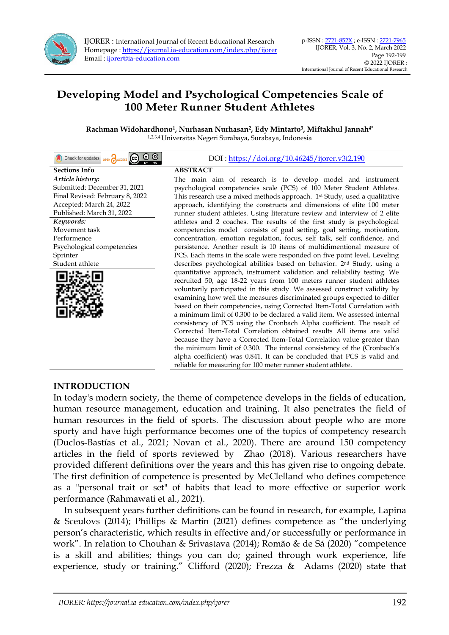

IJORER : International Journal of Recent Educational Research Homepage [: https://journal.ia-education.com/index.php/ijorer](https://journal.ia-education.com/index.php/ijorer) Email [: ijorer@ia-education.com](file:///C:/Users/Tatangm/Downloads/ijorer@ia-education.com)

# **Developing Model and Psychological Competencies Scale of 100 Meter Runner Student Athletes**

 $\boldsymbol{\mathrm{R}}$ achman Widohardhono $^1$ , Nurhasan Nurhasan $^2$ , Edy Mintarto $^3$ , Miftakhul Jannah $^{4*}$ 1,2,3,4 Universitas Negeri Surabaya, Surabaya, Indonesia

| $\circledcirc$<br>$\odot$<br>Check for updates OPEN CACCESS CC                                                                                                                                                                      | DOI: https://doi.org/10.46245/ijorer.v3i2.190                                                                                                                                                                                                                                                                                                                                                                                                                                                                                                                                                                                                                                                                                                                                                                                                                                                                                      |
|-------------------------------------------------------------------------------------------------------------------------------------------------------------------------------------------------------------------------------------|------------------------------------------------------------------------------------------------------------------------------------------------------------------------------------------------------------------------------------------------------------------------------------------------------------------------------------------------------------------------------------------------------------------------------------------------------------------------------------------------------------------------------------------------------------------------------------------------------------------------------------------------------------------------------------------------------------------------------------------------------------------------------------------------------------------------------------------------------------------------------------------------------------------------------------|
| <b>Sections Info</b>                                                                                                                                                                                                                | <b>ABSTRACT</b>                                                                                                                                                                                                                                                                                                                                                                                                                                                                                                                                                                                                                                                                                                                                                                                                                                                                                                                    |
| Article history:<br>Submitted: December 31, 2021<br>Final Revised: February 8, 2022<br>Accepted: March 24, 2022<br>Published: March 31, 2022<br>Keywords:<br>Movement task<br>Performence<br>Psychological competencies<br>Sprinter | The main aim of research is to develop model and instrument<br>psychological competencies scale (PCS) of 100 Meter Student Athletes.<br>This research use a mixed methods approach. 1 <sup>st</sup> Study, used a qualitative<br>approach, identifying the constructs and dimensions of elite 100 meter<br>runner student athletes. Using literature review and interview of 2 elite<br>athletes and 2 coaches. The results of the first study is psychological<br>competencies model consists of goal setting, goal setting, motivation,<br>concentration, emotion regulation, focus, self talk, self confidence, and<br>persistence. Another result is 10 items of multidimentional measure of<br>PCS. Each items in the scale were responded on five point level. Leveling                                                                                                                                                      |
| Student athlete                                                                                                                                                                                                                     | describes psychological abilities based on behavior. 2nd Study, using a<br>quantitative approach, instrument validation and reliability testing. We<br>recruited 50, age 18-22 years from 100 meters runner student athletes<br>voluntarily participated in this study. We assessed construct validity by<br>examining how well the measures discriminated groups expected to differ<br>based on their competencies, using Corrected Item-Total Correlation with<br>a minimum limit of 0.300 to be declared a valid item. We assessed internal<br>consistency of PCS using the Cronbach Alpha coefficient. The result of<br>Corrected Item-Total Correlation obtained results All items are valid<br>because they have a Corrected Item-Total Correlation value greater than<br>the minimum limit of 0.300. The internal consistency of the (Cronbach's<br>alpha coefficient) was 0.841. It can be concluded that PCS is valid and |

#### **INTRODUCTION**

In today's modern society, the theme of competence develops in the fields of education, human resource management, education and training. It also penetrates the field of human resources in the field of sports. The discussion about people who are more sporty and have high performance becomes one of the topics of competency research (Duclos-Bastías et al., 2021; Novan et al., 2020). There are around 150 competency articles in the field of sports reviewed by Zhao (2018). Various researchers have provided different definitions over the years and this has given rise to ongoing debate. The first definition of competence is presented by McClelland who defines competence as a "personal trait or set" of habits that lead to more effective or superior work performance (Rahmawati et al., 2021).

reliable for measuring for 100 meter runner student athlete.

In subsequent years further definitions can be found in research, for example, Lapina & Sceulovs (2014); Phillips & Martin (2021) defines competence as "the underlying person's characteristic, which results in effective and/or successfully or performance in work". In relation to Chouhan & Srivastava (2014); Romão & de Sá (2020) "competence is a skill and abilities; things you can do; gained through work experience, life experience, study or training." Clifford (2020); Frezza & Adams (2020) state that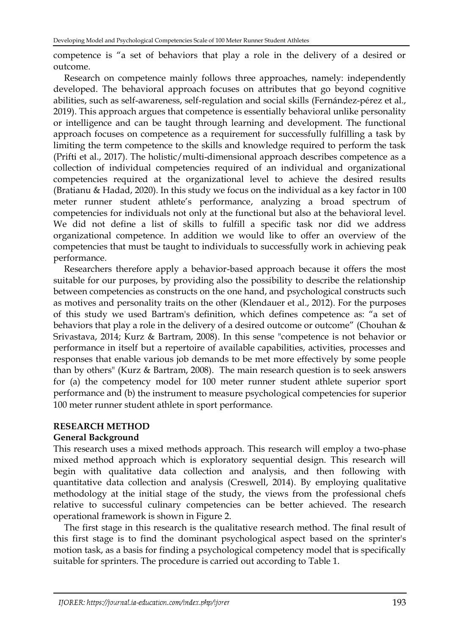competence is "a set of behaviors that play a role in the delivery of a desired or outcome.

Research on competence mainly follows three approaches, namely: independently developed. The behavioral approach focuses on attributes that go beyond cognitive abilities, such as self-awareness, self-regulation and social skills (Fernández-pérez et al., 2019). This approach argues that competence is essentially behavioral unlike personality or intelligence and can be taught through learning and development. The functional approach focuses on competence as a requirement for successfully fulfilling a task by limiting the term competence to the skills and knowledge required to perform the task (Prifti et al., 2017). The holistic/multi-dimensional approach describes competence as a collection of individual competencies required of an individual and organizational competencies required at the organizational level to achieve the desired results (Bratianu & Hadad, 2020). In this study we focus on the individual as a key factor in 100 meter runner student athlete's performance, analyzing a broad spectrum of competencies for individuals not only at the functional but also at the behavioral level. We did not define a list of skills to fulfill a specific task nor did we address organizational competence. In addition we would like to offer an overview of the competencies that must be taught to individuals to successfully work in achieving peak performance.

Researchers therefore apply a behavior-based approach because it offers the most suitable for our purposes, by providing also the possibility to describe the relationship between competencies as constructs on the one hand, and psychological constructs such as motives and personality traits on the other (Klendauer et al., 2012). For the purposes of this study we used Bartram's definition, which defines competence as: "a set of behaviors that play a role in the delivery of a desired outcome or outcome" (Chouhan & Srivastava, 2014; Kurz & Bartram, 2008). In this sense "competence is not behavior or performance in itself but a repertoire of available capabilities, activities, processes and responses that enable various job demands to be met more effectively by some people than by others" (Kurz & Bartram, 2008). The main research question is to seek answers for (a) the competency model for 100 meter runner student athlete superior sport performance and (b) the instrument to measure psychological competencies for superior 100 meter runner student athlete in sport performance.

## **RESEARCH METHOD**

## **General Background**

This research uses a mixed methods approach. This research will employ a two-phase mixed method approach which is exploratory sequential design. This research will begin with qualitative data collection and analysis, and then following with quantitative data collection and analysis (Creswell, 2014). By employing qualitative methodology at the initial stage of the study, the views from the professional chefs relative to successful culinary competencies can be better achieved. The research operational framework is shown in Figure 2.

The first stage in this research is the qualitative research method. The final result of this first stage is to find the dominant psychological aspect based on the sprinter's motion task, as a basis for finding a psychological competency model that is specifically suitable for sprinters. The procedure is carried out according to Table 1.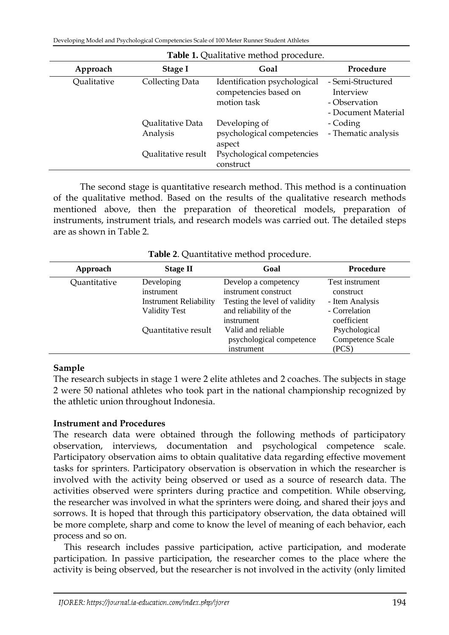Developing Model and Psychological Competencies Scale of 100 Meter Runner Student Athletes

| Table 1. Qualitative method procedure. |                              |                                                                      |                                                                        |
|----------------------------------------|------------------------------|----------------------------------------------------------------------|------------------------------------------------------------------------|
| Approach                               | <b>Stage I</b>               | Goal                                                                 | Procedure                                                              |
| Qualitative                            | <b>Collecting Data</b>       | Identification psychological<br>competencies based on<br>motion task | - Semi-Structured<br>Interview<br>- Observation<br>- Document Material |
|                                        | Qualitative Data<br>Analysis | Developing of<br>psychological competencies<br>aspect                | - Coding<br>- Thematic analysis                                        |
|                                        | Qualitative result           | Psychological competencies<br>construct                              |                                                                        |

The second stage is quantitative research method. This method is a continuation of the qualitative method. Based on the results of the qualitative research methods mentioned above, then the preparation of theoretical models, preparation of instruments, instrument trials, and research models was carried out. The detailed steps are as shown in Table 2.

| Approach     | <b>Stage II</b>                                                                   | Goal                                                                                                    | <b>Procedure</b>                                                 |
|--------------|-----------------------------------------------------------------------------------|---------------------------------------------------------------------------------------------------------|------------------------------------------------------------------|
| Quantitative | Developing<br>instrument<br><b>Instrument Reliability</b><br><b>Validity Test</b> | Develop a competency<br>instrument construct<br>Testing the level of validity<br>and reliability of the | Test instrument<br>construct<br>- Item Analysis<br>- Correlation |
|              | Quantitative result                                                               | instrument<br>Valid and reliable<br>psychological competence<br>instrument                              | coefficient<br>Psychological<br>Competence Scale<br>(PCS)        |

**Table 2**. Quantitative method procedure.

## **Sample**

The research subjects in stage 1 were 2 elite athletes and 2 coaches. The subjects in stage 2 were 50 national athletes who took part in the national championship recognized by the athletic union throughout Indonesia.

## **Instrument and Procedures**

The research data were obtained through the following methods of participatory observation, interviews, documentation and psychological competence scale. Participatory observation aims to obtain qualitative data regarding effective movement tasks for sprinters. Participatory observation is observation in which the researcher is involved with the activity being observed or used as a source of research data. The activities observed were sprinters during practice and competition. While observing, the researcher was involved in what the sprinters were doing, and shared their joys and sorrows. It is hoped that through this participatory observation, the data obtained will be more complete, sharp and come to know the level of meaning of each behavior, each process and so on.

This research includes passive participation, active participation, and moderate participation. In passive participation, the researcher comes to the place where the activity is being observed, but the researcher is not involved in the activity (only limited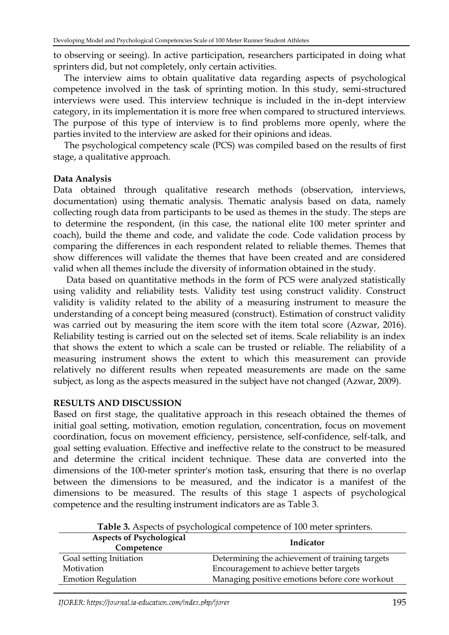to observing or seeing). In active participation, researchers participated in doing what sprinters did, but not completely, only certain activities.

The interview aims to obtain qualitative data regarding aspects of psychological competence involved in the task of sprinting motion. In this study, semi-structured interviews were used. This interview technique is included in the in-dept interview category, in its implementation it is more free when compared to structured interviews. The purpose of this type of interview is to find problems more openly, where the parties invited to the interview are asked for their opinions and ideas.

The psychological competency scale (PCS) was compiled based on the results of first stage, a qualitative approach.

#### **Data Analysis**

Data obtained through qualitative research methods (observation, interviews, documentation) using thematic analysis. Thematic analysis based on data, namely collecting rough data from participants to be used as themes in the study. The steps are to determine the respondent, (in this case, the national elite 100 meter sprinter and coach), build the theme and code, and validate the code. Code validation process by comparing the differences in each respondent related to reliable themes. Themes that show differences will validate the themes that have been created and are considered valid when all themes include the diversity of information obtained in the study.

Data based on quantitative methods in the form of PCS were analyzed statistically using validity and reliability tests. Validity test using construct validity. Construct validity is validity related to the ability of a measuring instrument to measure the understanding of a concept being measured (construct). Estimation of construct validity was carried out by measuring the item score with the item total score (Azwar, 2016). Reliability testing is carried out on the selected set of items. Scale reliability is an index that shows the extent to which a scale can be trusted or reliable. The reliability of a measuring instrument shows the extent to which this measurement can provide relatively no different results when repeated measurements are made on the same subject, as long as the aspects measured in the subject have not changed (Azwar, 2009).

#### **RESULTS AND DISCUSSION**

Based on first stage, the qualitative approach in this reseach obtained the themes of initial goal setting, motivation, emotion regulation, concentration, focus on movement coordination, focus on movement efficiency, persistence, self-confidence, self-talk, and goal setting evaluation. Effective and ineffective relate to the construct to be measured and determine the critical incident technique. These data are converted into the dimensions of the 100-meter sprinter's motion task, ensuring that there is no overlap between the dimensions to be measured, and the indicator is a manifest of the dimensions to be measured. The results of this stage 1 aspects of psychological competence and the resulting instrument indicators are as Table 3.

| <b>Aspects of Psychological</b><br>Competence | Indicator                                       |
|-----------------------------------------------|-------------------------------------------------|
| Goal setting Initiation                       | Determining the achievement of training targets |
| Motivation                                    | Encouragement to achieve better targets         |
| <b>Emotion Regulation</b>                     | Managing positive emotions before core workout  |

**Table 3.** Aspects of psychological competence of 100 meter sprinters.

IJORER: https://journal.ia-education.com/index.php/ijorer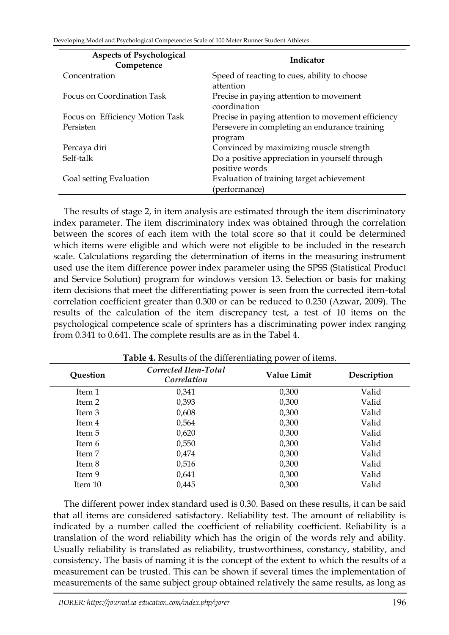Developing Model and Psychological Competencies Scale of 100 Meter Runner Student Athletes

| <b>Aspects of Psychological</b><br>Competence | Indicator                                          |
|-----------------------------------------------|----------------------------------------------------|
| Concentration                                 | Speed of reacting to cues, ability to choose       |
|                                               | attention                                          |
| Focus on Coordination Task                    | Precise in paying attention to movement            |
|                                               | coordination                                       |
| Focus on Efficiency Motion Task               | Precise in paying attention to movement efficiency |
| Persisten                                     | Persevere in completing an endurance training      |
|                                               | program                                            |
| Percaya diri                                  | Convinced by maximizing muscle strength            |
| Self-talk                                     | Do a positive appreciation in yourself through     |
|                                               | positive words                                     |
| Goal setting Evaluation                       | Evaluation of training target achievement          |
|                                               | (performance)                                      |

The results of stage 2, in item analysis are estimated through the item discriminatory index parameter. The item discriminatory index was obtained through the correlation between the scores of each item with the total score so that it could be determined which items were eligible and which were not eligible to be included in the research scale. Calculations regarding the determination of items in the measuring instrument used use the item difference power index parameter using the SPSS (Statistical Product and Service Solution) program for windows version 13. Selection or basis for making item decisions that meet the differentiating power is seen from the corrected item-total correlation coefficient greater than 0.300 or can be reduced to 0.250 (Azwar, 2009). The results of the calculation of the item discrepancy test, a test of 10 items on the psychological competence scale of sprinters has a discriminating power index ranging from 0.341 to 0.641. The complete results are as in the Tabel 4.

| Question | Corrected Item-Total<br>Correlation | <b>Value Limit</b> | Description |
|----------|-------------------------------------|--------------------|-------------|
| Item 1   | 0,341                               | 0,300              | Valid       |
| Item 2   | 0,393                               | 0,300              | Valid       |
| Item 3   | 0,608                               | 0,300              | Valid       |
| Item 4   | 0,564                               | 0,300              | Valid       |
| Item 5   | 0,620                               | 0,300              | Valid       |
| Item 6   | 0,550                               | 0,300              | Valid       |
| Item 7   | 0,474                               | 0,300              | Valid       |
| Item 8   | 0,516                               | 0,300              | Valid       |
| Item 9   | 0,641                               | 0,300              | Valid       |
| Item 10  | 0,445                               | 0,300              | Valid       |

**Table 4.** Results of the differentiating power of items.

The different power index standard used is 0.30. Based on these results, it can be said that all items are considered satisfactory. Reliability test. The amount of reliability is indicated by a number called the coefficient of reliability coefficient. Reliability is a translation of the word reliability which has the origin of the words rely and ability. Usually reliability is translated as reliability, trustworthiness, constancy, stability, and consistency. The basis of naming it is the concept of the extent to which the results of a measurement can be trusted. This can be shown if several times the implementation of measurements of the same subject group obtained relatively the same results, as long as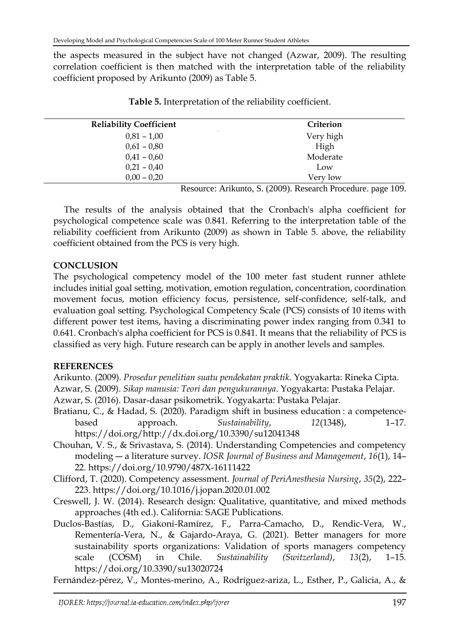the aspects measured in the subject have not changed (Azwar, 2009). The resulting correlation coefficient is then matched with the interpretation table of the reliability coefficient proposed by Arikunto (2009) as Table 5.

| <b>Reliability Coefficient</b> | Criterion |
|--------------------------------|-----------|
| $0,81 - 1,00$                  | Very high |
| $0.61 - 0.80$                  | High      |
| $0,41 - 0,60$                  | Moderate  |
| $0,21 - 0,40$                  | Low       |
| $0,00 - 0,20$                  | Very low  |

**Table 5.** Interpretation of the reliability coefficient.

Resource: Arikunto, S. (2009). Research Procedure. page 109.

The results of the analysis obtained that the Cronbach's alpha coefficient for psychological competence scale was 0.841. Referring to the interpretation table of the reliability coefficient from Arikunto (2009) as shown in Table 5. above, the reliability coefficient obtained from the PCS is very high.

## **CONCLUSION**

The psychological competency model of the 100 meter fast student runner athlete includes initial goal setting, motivation, emotion regulation, concentration, coordination movement focus, motion efficiency focus, persistence, self-confidence, self-talk, and evaluation goal setting. Psychological Competency Scale (PCS) consists of 10 items with different power test items, having a discriminating power index ranging from 0.341 to 0.641. Cronbach's alpha coefficient for PCS is 0.841. It means that the reliability of PCS is classified as very high. Future research can be apply in another levels and samples.

## **REFERENCES**

- Arikunto. (2009). *Prosedur penelitian suatu pendekatan praktik*. Yogyakarta: Rineka Cipta.
- Azwar, S. (2009). *Sikap manusia: Teori dan pengukurannya*. Yogyakarta: Pustaka Pelajar.
- Azwar, S. (2016). Dasar-dasar psikometrik. Yogyakarta: Pustaka Pelajar.
- Bratianu, C., & Hadad, S. (2020). Paradigm shift in business education : a competencebased approach. *Sustainability*, *12*(1348), 1–17. https://doi.org/http://dx.doi.org/10.3390/su12041348
- Chouhan, V. S., & Srivastava, S. (2014). Understanding Competencies and competency modeling ― a literature survey. *IOSR Journal of Business and Management*, *16*(1), 14– 22. https://doi.org/10.9790/487X-16111422
- Clifford, T. (2020). Competency assessment. *Journal of PeriAnesthesia Nursing*, *35*(2), 222– 223. https://doi.org/10.1016/j.jopan.2020.01.002
- Creswell, J. W. (2014). Research design: Qualitative, quantitative, and mixed methods approaches (4th ed.). California: SAGE Publications.
- Duclos-Bastías, D., Giakoni-Ramírez, F., Parra-Camacho, D., Rendic-Vera, W., Rementería-Vera, N., & Gajardo-Araya, G. (2021). Better managers for more sustainability sports organizations: Validation of sports managers competency scale (COSM) in Chile. *Sustainability (Switzerland)*, *13*(2), 1–15. https://doi.org/10.3390/su13020724

Fernández-pérez, V., Montes-merino, A., Rodríguez-ariza, L., Esther, P., Galicia, A., &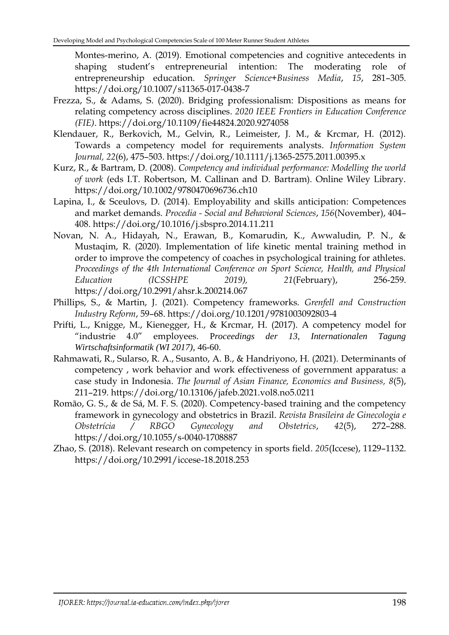Montes-merino, A. (2019). Emotional competencies and cognitive antecedents in shaping student's entrepreneurial intention: The moderating role of entrepreneurship education. *Springer Science+Business Media*, *15*, 281–305. https://doi.org/10.1007/s11365-017-0438-7

- Frezza, S., & Adams, S. (2020). Bridging professionalism: Dispositions as means for relating competency across disciplines. *2020 IEEE Frontiers in Education Conference (FIE)*. https://doi.org/10.1109/fie44824.2020.9274058
- Klendauer, R., Berkovich, M., Gelvin, R., Leimeister, J. M., & Krcmar, H. (2012). Towards a competency model for requirements analysts. *Information System Journal, 22*(6), 475–503. https://doi.org/10.1111/j.1365-2575.2011.00395.x
- Kurz, R., & Bartram, D. (2008). *Competency and individual performance: Modelling the world of work* (eds I.T. Robertson, M. Callinan and D. Bartram). Online Wiley Library. https://doi.org/10.1002/9780470696736.ch10
- Lapina, I., & Sceulovs, D. (2014). Employability and skills anticipation: Competences and market demands. *Procedia - Social and Behavioral Sciences*, *156*(November), 404– 408. https://doi.org/10.1016/j.sbspro.2014.11.211
- Novan, N. A., Hidayah, N., Erawan, B., Komarudin, K., Awwaludin, P. N., & Mustaqim, R. (2020). Implementation of life kinetic mental training method in order to improve the competency of coaches in psychological training for athletes. *Proceedings of the 4th International Conference on Sport Science, Health, and Physical Education (ICSSHPE 2019), 21*(February), 256-259. https://doi.org/10.2991/ahsr.k.200214.067
- Phillips, S., & Martin, J. (2021). Competency frameworks. *Grenfell and Construction Industry Reform*, 59–68. https://doi.org/10.1201/9781003092803-4
- Prifti, L., Knigge, M., Kienegger, H., & Krcmar, H. (2017). A competency model for "industrie 4.0" employees. P*roceedings der 13, Internationalen Tagung Wirtschaftsinformatik (WI 2017),* 46-60.
- Rahmawati, R., Sularso, R. A., Susanto, A. B., & Handriyono, H. (2021). Determinants of competency , work behavior and work effectiveness of government apparatus: a case study in Indonesia. *[The Journal of Asian Finance, Economics and Business,](http://koreascience.or.kr/journal/OTGHEU.page) 8*(5), 211–219. https://doi.org/10.13106/jafeb.2021.vol8.no5.0211
- Romão, G. S., & de Sá, M. F. S. (2020). Competency-based training and the competency framework in gynecology and obstetrics in Brazil. *Revista Brasileira de Ginecologia e Obstetrícia / RBGO Gynecology and Obstetrics*, *42*(5), 272–288. https://doi.org/10.1055/s-0040-1708887
- Zhao, S. (2018). Relevant research on competency in sports field. *205*(Iccese), 1129–1132. https://doi.org/10.2991/iccese-18.2018.253